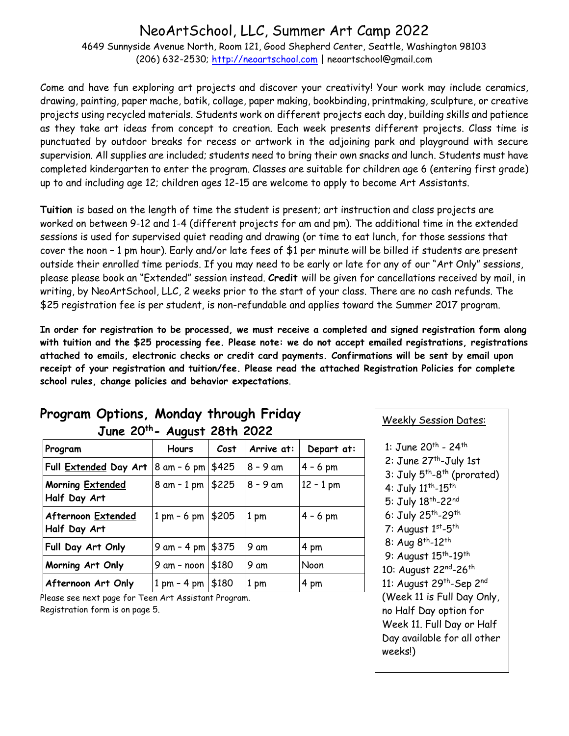## NeoArtSchool, LLC, Summer Art Camp 2022

4649 Sunnyside Avenue North, Room 121, Good Shepherd Center, Seattle, Washington 98103 (206) 632-2530; [http://neoartschool.com](http://neoartschool.com/) | neoartschool@gmail.com

Come and have fun exploring art projects and discover your creativity! Your work may include ceramics, drawing, painting, paper mache, batik, collage, paper making, bookbinding, printmaking, sculpture, or creative projects using recycled materials. Students work on different projects each day, building skills and patience as they take art ideas from concept to creation. Each week presents different projects. Class time is punctuated by outdoor breaks for recess or artwork in the adjoining park and playground with secure supervision. All supplies are included; students need to bring their own snacks and lunch. Students must have completed kindergarten to enter the program. Classes are suitable for children age 6 (entering first grade) up to and including age 12; children ages 12-15 are welcome to apply to become Art Assistants.

**Tuition** is based on the length of time the student is present; art instruction and class projects are worked on between 9-12 and 1-4 (different projects for am and pm). The additional time in the extended sessions is used for supervised quiet reading and drawing (or time to eat lunch, for those sessions that cover the noon – 1 pm hour). Early and/or late fees of \$1 per minute will be billed if students are present outside their enrolled time periods. If you may need to be early or late for any of our "Art Only" sessions, please please book an "Extended" session instead. **Credit** will be given for cancellations received by mail, in writing, by NeoArtSchool, LLC, 2 weeks prior to the start of your class. There are no cash refunds. The \$25 registration fee is per student, is non-refundable and applies toward the Summer 2017 program.

**In order for registration to be processed, we must receive a completed and signed registration form along with tuition and the \$25 processing fee. Please note: we do not accept emailed registrations, registrations attached to emails, electronic checks or credit card payments. Confirmations will be sent by email upon receipt of your registration and tuition/fee. Please read the attached Registration Policies for complete school rules, change policies and behavior expectations**.

| June 20th- August 28th 2022               |                               |       |            |             |  |  |  |
|-------------------------------------------|-------------------------------|-------|------------|-------------|--|--|--|
| Program                                   | <b>Hours</b>                  | Cost  | Arrive at: | Depart at:  |  |  |  |
| Full Extended Day Art                     | $8$ am - 6 pm                 | \$425 | $8 - 9$ am | $4 - 6$ pm  |  |  |  |
| <b>Morning Extended</b><br>Half Day Art   | $8$ am $-1$ pm                | \$225 | $8 - 9$ am | $12 - 1$ pm |  |  |  |
| <b>Afternoon Extended</b><br>Half Day Art | $1 \text{ pm} - 6 \text{ pm}$ | \$205 | 1 pm       | $4 - 6$ pm  |  |  |  |
| Full Day Art Only                         | $9$ am - 4 pm                 | \$375 | 9 am       | 4 pm        |  |  |  |
| Morning Art Only                          | 9 am - noon                   | \$180 | 9 am       | Noon        |  |  |  |
| Afternoon Art Only                        | $1 \text{ pm} - 4 \text{ pm}$ | \$180 | 1 pm       | 4 pm        |  |  |  |

# **Program Options, Monday through Friday**

Please see next page for Teen Art Assistant Program. Registration form is on page 5.

#### Weekly Session Dates:

1: June 20<sup>th</sup> - 24<sup>th</sup> 2: June 27<sup>th</sup>-July 1st 3: July 5<sup>th</sup>-8<sup>th</sup> (prorated) 4: July 11<sup>th</sup>-15<sup>th</sup> 5: July 18<sup>th</sup>-22<sup>nd</sup> 6: July 25<sup>th</sup>-29<sup>th</sup> 7: August 1<sup>st</sup>-5<sup>th</sup> 8: Aug 8<sup>th</sup>-12<sup>th</sup> 9: August 15<sup>th</sup>-19<sup>th</sup> 10: August 22<sup>nd</sup>-26<sup>th</sup> 11: August 29<sup>th</sup>-Sep 2<sup>nd</sup> (Week 11 is Full Day Only, no Half Day option for Week 11. Full Day or Half Day available for all other weeks!)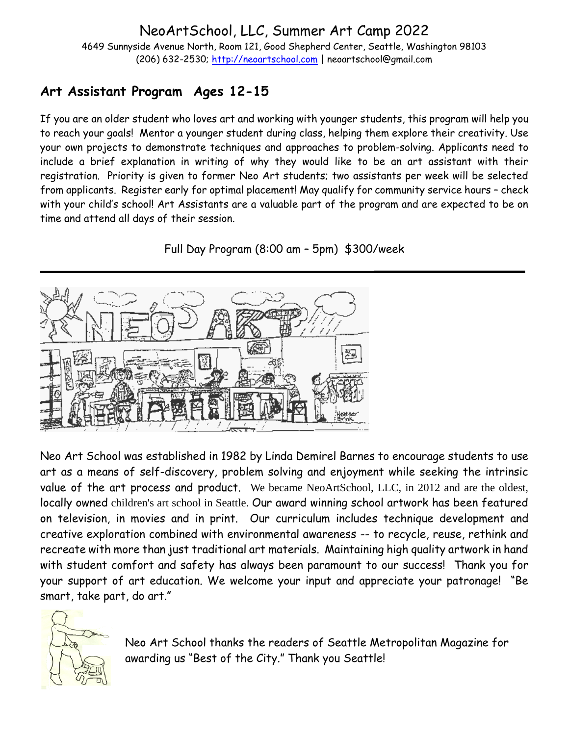NeoArtSchool, LLC, Summer Art Camp 2022 4649 Sunnyside Avenue North, Room 121, Good Shepherd Center, Seattle, Washington 98103 (206) 632-2530; [http://neoartschool.com](http://neoartschool.com/) | neoartschool@gmail.com

## **Art Assistant Program Ages 12-15**

If you are an older student who loves art and working with younger students, this program will help you to reach your goals! Mentor a younger student during class, helping them explore their creativity. Use your own projects to demonstrate techniques and approaches to problem-solving. Applicants need to include a brief explanation in writing of why they would like to be an art assistant with their registration. Priority is given to former Neo Art students; two assistants per week will be selected from applicants. Register early for optimal placement! May qualify for community service hours – check with your child's school! Art Assistants are a valuable part of the program and are expected to be on time and attend all days of their session.

Full Day Program (8:00 am – 5pm) \$300/week



Neo Art School was established in 1982 by Linda Demirel Barnes to encourage students to use art as a means of self-discovery, problem solving and enjoyment while seeking the intrinsic value of the art process and product. We became NeoArtSchool, LLC, in 2012 and are the oldest, locally owned children's art school in Seattle. Our award winning school artwork has been featured on television, in movies and in print. Our curriculum includes technique development and creative exploration combined with environmental awareness -- to recycle, reuse, rethink and recreate with more than just traditional art materials. Maintaining high quality artwork in hand with student comfort and safety has always been paramount to our success! Thank you for your support of art education. We welcome your input and appreciate your patronage! "Be smart, take part, do art."



Neo Art School thanks the readers of Seattle Metropolitan Magazine for awarding us "Best of the City." Thank you Seattle!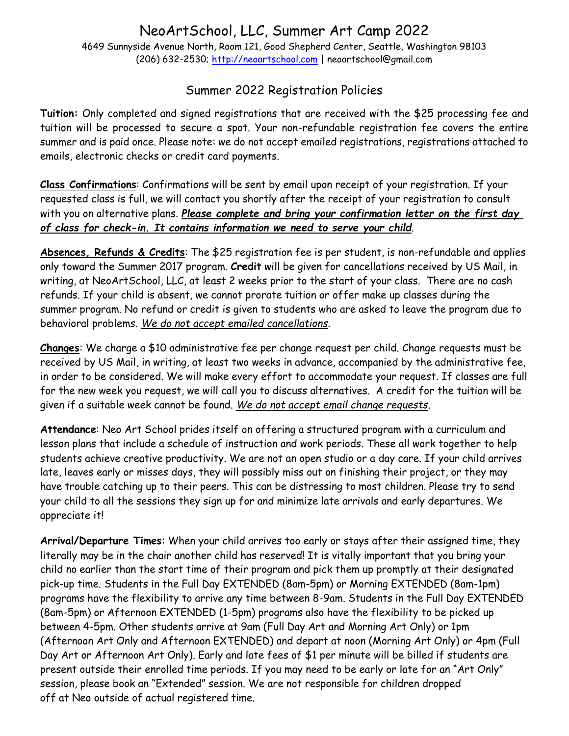#### NeoArtSchool, LLC, Summer Art Camp 2022 4649 Sunnyside Avenue North, Room 121, Good Shepherd Center, Seattle, Washington 98103 (206) 632-2530; [http://neoartschool.com](http://neoartschool.com/) | neoartschool@gmail.com

### Summer 2022 Registration Policies

**Tuition:** Only completed and signed registrations that are received with the \$25 processing fee and tuition will be processed to secure a spot. Your non-refundable registration fee covers the entire summer and is paid once. Please note: we do not accept emailed registrations, registrations attached to emails, electronic checks or credit card payments.

**Class Confirmations**: Confirmations will be sent by email upon receipt of your registration. If your requested class is full, we will contact you shortly after the receipt of your registration to consult with you on alternative plans. *Please complete and bring your confirmation letter on the first day of class for check-in. It contains information we need to serve your child*.

**Absences, Refunds & Credits**: The \$25 registration fee is per student, is non-refundable and applies only toward the Summer 2017 program. **Credit** will be given for cancellations received by US Mail, in writing, at NeoArtSchool, LLC, at least 2 weeks prior to the start of your class. There are no cash refunds. If your child is absent, we cannot prorate tuition or offer make up classes during the summer program. No refund or credit is given to students who are asked to leave the program due to behavioral problems. *We do not accept emailed cancellations.*

**Changes**: We charge a \$10 administrative fee per change request per child. Change requests must be received by US Mail, in writing, at least two weeks in advance, accompanied by the administrative fee, in order to be considered. We will make every effort to accommodate your request. If classes are full for the new week you request, we will call you to discuss alternatives. A credit for the tuition will be given if a suitable week cannot be found. *We do not accept email change requests*.

**Attendance**: Neo Art School prides itself on offering a structured program with a curriculum and lesson plans that include a schedule of instruction and work periods. These all work together to help students achieve creative productivity. We are not an open studio or a day care. If your child arrives late, leaves early or misses days, they will possibly miss out on finishing their project, or they may have trouble catching up to their peers. This can be distressing to most children. Please try to send your child to all the sessions they sign up for and minimize late arrivals and early departures. We appreciate it!

**Arrival/Departure Times**: When your child arrives too early or stays after their assigned time, they literally may be in the chair another child has reserved! It is vitally important that you bring your child no earlier than the start time of their program and pick them up promptly at their designated pick-up time. Students in the Full Day EXTENDED (8am-5pm) or Morning EXTENDED (8am-1pm) programs have the flexibility to arrive any time between 8-9am. Students in the Full Day EXTENDED (8am-5pm) or Afternoon EXTENDED (1-5pm) programs also have the flexibility to be picked up between 4-5pm. Other students arrive at 9am (Full Day Art and Morning Art Only) or 1pm (Afternoon Art Only and Afternoon EXTENDED) and depart at noon (Morning Art Only) or 4pm (Full Day Art or Afternoon Art Only). Early and late fees of \$1 per minute will be billed if students are present outside their enrolled time periods. If you may need to be early or late for an "Art Only" session, please book an "Extended" session. We are not responsible for children dropped off at Neo outside of actual registered time.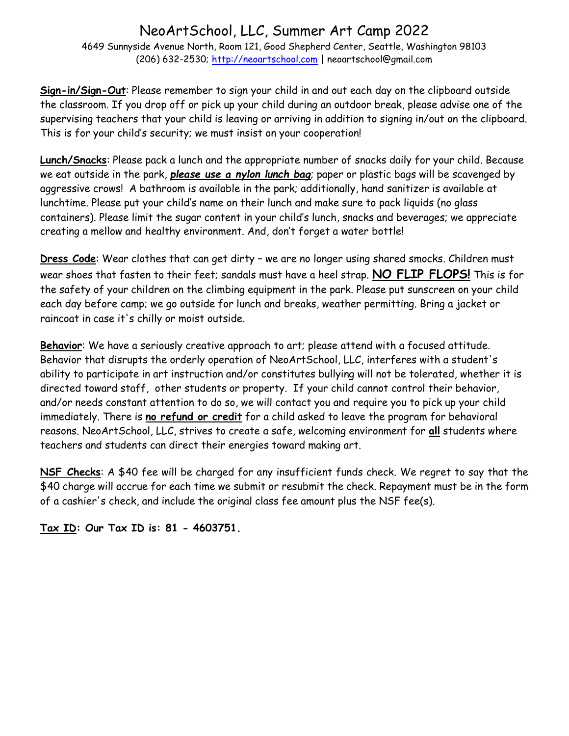## NeoArtSchool, LLC, Summer Art Camp 2022

4649 Sunnyside Avenue North, Room 121, Good Shepherd Center, Seattle, Washington 98103 (206) 632-2530; [http://neoartschool.com](http://neoartschool.com/) | neoartschool@gmail.com

**Sign-in/Sign-Out**: Please remember to sign your child in and out each day on the clipboard outside the classroom. If you drop off or pick up your child during an outdoor break, please advise one of the supervising teachers that your child is leaving or arriving in addition to signing in/out on the clipboard. This is for your child's security; we must insist on your cooperation!

**Lunch/Snacks**: Please pack a lunch and the appropriate number of snacks daily for your child. Because we eat outside in the park, *please use a nylon lunch bag*; paper or plastic bags will be scavenged by aggressive crows! A bathroom is available in the park; additionally, hand sanitizer is available at lunchtime. Please put your child's name on their lunch and make sure to pack liquids (no glass containers). Please limit the sugar content in your child's lunch, snacks and beverages; we appreciate creating a mellow and healthy environment. And, don't forget a water bottle!

**Dress Code**: Wear clothes that can get dirty – we are no longer using shared smocks. Children must wear shoes that fasten to their feet; sandals must have a heel strap. **NO FLIP FLOPS!** This is for the safety of your children on the climbing equipment in the park. Please put sunscreen on your child each day before camp; we go outside for lunch and breaks, weather permitting. Bring a jacket or raincoat in case it's chilly or moist outside.

**Behavior**: We have a seriously creative approach to art; please attend with a focused attitude. Behavior that disrupts the orderly operation of NeoArtSchool, LLC, interferes with a student's ability to participate in art instruction and/or constitutes bullying will not be tolerated, whether it is directed toward staff, other students or property. If your child cannot control their behavior, and/or needs constant attention to do so, we will contact you and require you to pick up your child immediately. There is **no refund or credit** for a child asked to leave the program for behavioral reasons. NeoArtSchool, LLC, strives to create a safe, welcoming environment for **all** students where teachers and students can direct their energies toward making art.

**NSF Checks**: A \$40 fee will be charged for any insufficient funds check. We regret to say that the \$40 charge will accrue for each time we submit or resubmit the check. Repayment must be in the form of a cashier's check, and include the original class fee amount plus the NSF fee(s).

**Tax ID: Our Tax ID is: 81 - 4603751.**